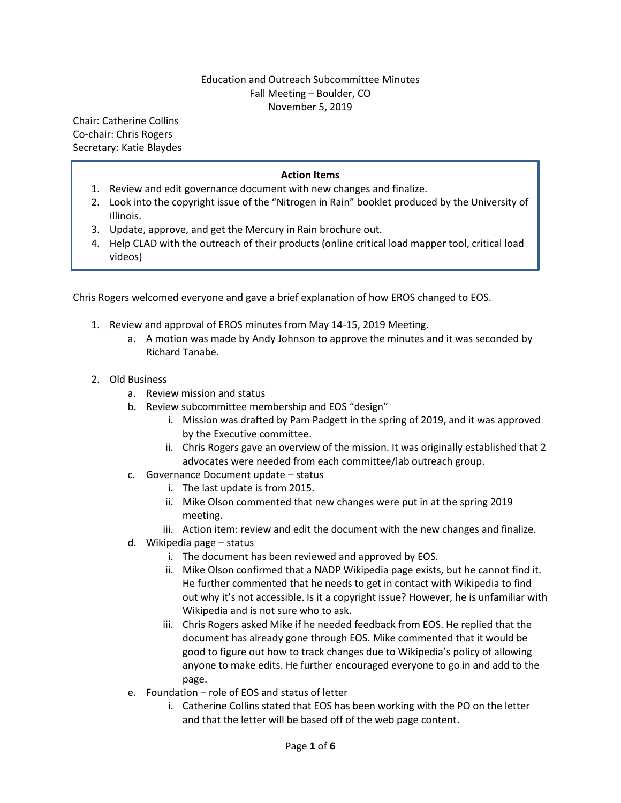## Education and Outreach Subcommittee Minutes Fall Meeting – Boulder, CO November 5, 2019

Chair: Catherine Collins Co-chair: Chris Rogers Secretary: Katie Blaydes

## **Action Items**

- 1. Review and edit governance document with new changes and finalize.
- 2. Look into the copyright issue of the "Nitrogen in Rain" booklet produced by the University of Illinois.
- 3. Update, approve, and get the Mercury in Rain brochure out.
- 4. Help CLAD with the outreach of their products (online critical load mapper tool, critical load videos)

Chris Rogers welcomed everyone and gave a brief explanation of how EROS changed to EOS.

- 1. Review and approval of EROS minutes from May 14-15, 2019 Meeting.
	- a. A motion was made by Andy Johnson to approve the minutes and it was seconded by Richard Tanabe.
- 2. Old Business
	- a. Review mission and status
	- b. Review subcommittee membership and EOS "design"
		- i. Mission was drafted by Pam Padgett in the spring of 2019, and it was approved by the Executive committee.
		- ii. Chris Rogers gave an overview of the mission. It was originally established that 2 advocates were needed from each committee/lab outreach group.
	- c. Governance Document update status
		- i. The last update is from 2015.
		- ii. Mike Olson commented that new changes were put in at the spring 2019 meeting.
		- iii. Action item: review and edit the document with the new changes and finalize.
	- d. Wikipedia page status
		- i. The document has been reviewed and approved by EOS.
		- ii. Mike Olson confirmed that a NADP Wikipedia page exists, but he cannot find it. He further commented that he needs to get in contact with Wikipedia to find out why it's not accessible. Is it a copyright issue? However, he is unfamiliar with Wikipedia and is not sure who to ask.
		- iii. Chris Rogers asked Mike if he needed feedback from EOS. He replied that the document has already gone through EOS. Mike commented that it would be good to figure out how to track changes due to Wikipedia's policy of allowing anyone to make edits. He further encouraged everyone to go in and add to the page.
	- e. Foundation role of EOS and status of letter
		- i. Catherine Collins stated that EOS has been working with the PO on the letter and that the letter will be based off of the web page content.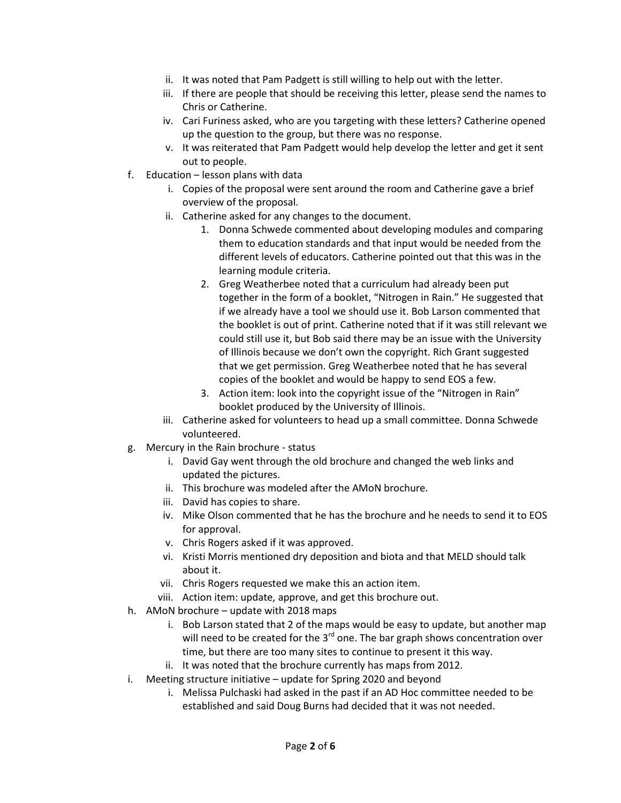- ii. It was noted that Pam Padgett is still willing to help out with the letter.
- iii. If there are people that should be receiving this letter, please send the names to Chris or Catherine.
- iv. Cari Furiness asked, who are you targeting with these letters? Catherine opened up the question to the group, but there was no response.
- v. It was reiterated that Pam Padgett would help develop the letter and get it sent out to people.
- f. Education lesson plans with data
	- i. Copies of the proposal were sent around the room and Catherine gave a brief overview of the proposal.
	- ii. Catherine asked for any changes to the document.
		- 1. Donna Schwede commented about developing modules and comparing them to education standards and that input would be needed from the different levels of educators. Catherine pointed out that this was in the learning module criteria.
		- 2. Greg Weatherbee noted that a curriculum had already been put together in the form of a booklet, "Nitrogen in Rain." He suggested that if we already have a tool we should use it. Bob Larson commented that the booklet is out of print. Catherine noted that if it was still relevant we could still use it, but Bob said there may be an issue with the University of Illinois because we don't own the copyright. Rich Grant suggested that we get permission. Greg Weatherbee noted that he has several copies of the booklet and would be happy to send EOS a few.
		- 3. Action item: look into the copyright issue of the "Nitrogen in Rain" booklet produced by the University of Illinois.
	- iii. Catherine asked for volunteers to head up a small committee. Donna Schwede volunteered.
- g. Mercury in the Rain brochure status
	- i. David Gay went through the old brochure and changed the web links and updated the pictures.
	- ii. This brochure was modeled after the AMoN brochure.
	- iii. David has copies to share.
	- iv. Mike Olson commented that he has the brochure and he needs to send it to EOS for approval.
	- v. Chris Rogers asked if it was approved.
	- vi. Kristi Morris mentioned dry deposition and biota and that MELD should talk about it.
	- vii. Chris Rogers requested we make this an action item.
	- viii. Action item: update, approve, and get this brochure out.
- h. AMoN brochure update with 2018 maps
	- i. Bob Larson stated that 2 of the maps would be easy to update, but another map will need to be created for the  $3<sup>rd</sup>$  one. The bar graph shows concentration over time, but there are too many sites to continue to present it this way.
	- ii. It was noted that the brochure currently has maps from 2012.
- i. Meeting structure initiative update for Spring 2020 and beyond
	- i. Melissa Pulchaski had asked in the past if an AD Hoc committee needed to be established and said Doug Burns had decided that it was not needed.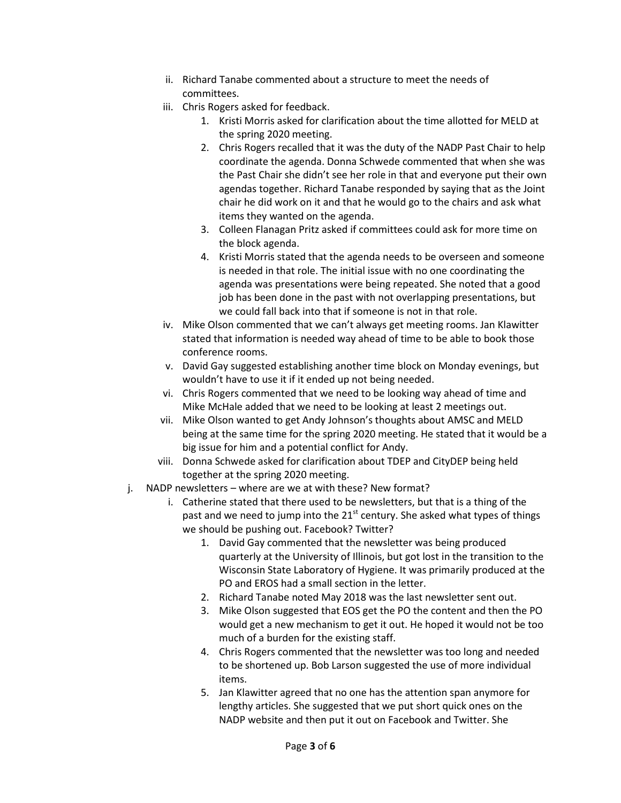- ii. Richard Tanabe commented about a structure to meet the needs of committees.
- iii. Chris Rogers asked for feedback.
	- 1. Kristi Morris asked for clarification about the time allotted for MELD at the spring 2020 meeting.
	- 2. Chris Rogers recalled that it was the duty of the NADP Past Chair to help coordinate the agenda. Donna Schwede commented that when she was the Past Chair she didn't see her role in that and everyone put their own agendas together. Richard Tanabe responded by saying that as the Joint chair he did work on it and that he would go to the chairs and ask what items they wanted on the agenda.
	- 3. Colleen Flanagan Pritz asked if committees could ask for more time on the block agenda.
	- 4. Kristi Morris stated that the agenda needs to be overseen and someone is needed in that role. The initial issue with no one coordinating the agenda was presentations were being repeated. She noted that a good job has been done in the past with not overlapping presentations, but we could fall back into that if someone is not in that role.
- iv. Mike Olson commented that we can't always get meeting rooms. Jan Klawitter stated that information is needed way ahead of time to be able to book those conference rooms.
- v. David Gay suggested establishing another time block on Monday evenings, but wouldn't have to use it if it ended up not being needed.
- vi. Chris Rogers commented that we need to be looking way ahead of time and Mike McHale added that we need to be looking at least 2 meetings out.
- vii. Mike Olson wanted to get Andy Johnson's thoughts about AMSC and MELD being at the same time for the spring 2020 meeting. He stated that it would be a big issue for him and a potential conflict for Andy.
- viii. Donna Schwede asked for clarification about TDEP and CityDEP being held together at the spring 2020 meeting.
- j. NADP newsletters where are we at with these? New format?
	- i. Catherine stated that there used to be newsletters, but that is a thing of the past and we need to jump into the  $21<sup>st</sup>$  century. She asked what types of things we should be pushing out. Facebook? Twitter?
		- 1. David Gay commented that the newsletter was being produced quarterly at the University of Illinois, but got lost in the transition to the Wisconsin State Laboratory of Hygiene. It was primarily produced at the PO and EROS had a small section in the letter.
		- 2. Richard Tanabe noted May 2018 was the last newsletter sent out.
		- 3. Mike Olson suggested that EOS get the PO the content and then the PO would get a new mechanism to get it out. He hoped it would not be too much of a burden for the existing staff.
		- 4. Chris Rogers commented that the newsletter was too long and needed to be shortened up. Bob Larson suggested the use of more individual items.
		- 5. Jan Klawitter agreed that no one has the attention span anymore for lengthy articles. She suggested that we put short quick ones on the NADP website and then put it out on Facebook and Twitter. She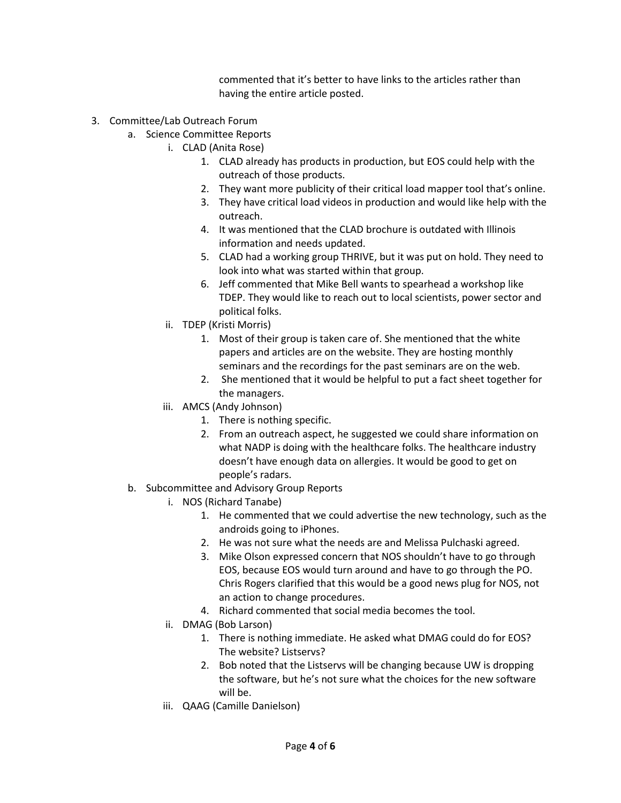commented that it's better to have links to the articles rather than having the entire article posted.

- 3. Committee/Lab Outreach Forum
	- a. Science Committee Reports
		- i. CLAD (Anita Rose)
			- 1. CLAD already has products in production, but EOS could help with the outreach of those products.
			- 2. They want more publicity of their critical load mapper tool that's online.
			- 3. They have critical load videos in production and would like help with the outreach.
			- 4. It was mentioned that the CLAD brochure is outdated with Illinois information and needs updated.
			- 5. CLAD had a working group THRIVE, but it was put on hold. They need to look into what was started within that group.
			- 6. Jeff commented that Mike Bell wants to spearhead a workshop like TDEP. They would like to reach out to local scientists, power sector and political folks.
		- ii. TDEP (Kristi Morris)
			- 1. Most of their group is taken care of. She mentioned that the white papers and articles are on the website. They are hosting monthly seminars and the recordings for the past seminars are on the web.
			- 2. She mentioned that it would be helpful to put a fact sheet together for the managers.
		- iii. AMCS (Andy Johnson)
			- 1. There is nothing specific.
			- 2. From an outreach aspect, he suggested we could share information on what NADP is doing with the healthcare folks. The healthcare industry doesn't have enough data on allergies. It would be good to get on people's radars.
	- b. Subcommittee and Advisory Group Reports
		- i. NOS (Richard Tanabe)
			- 1. He commented that we could advertise the new technology, such as the androids going to iPhones.
			- 2. He was not sure what the needs are and Melissa Pulchaski agreed.
			- 3. Mike Olson expressed concern that NOS shouldn't have to go through EOS, because EOS would turn around and have to go through the PO. Chris Rogers clarified that this would be a good news plug for NOS, not an action to change procedures.
			- 4. Richard commented that social media becomes the tool.
		- ii. DMAG (Bob Larson)
			- 1. There is nothing immediate. He asked what DMAG could do for EOS? The website? Listservs?
			- 2. Bob noted that the Listservs will be changing because UW is dropping the software, but he's not sure what the choices for the new software will be.
		- iii. QAAG (Camille Danielson)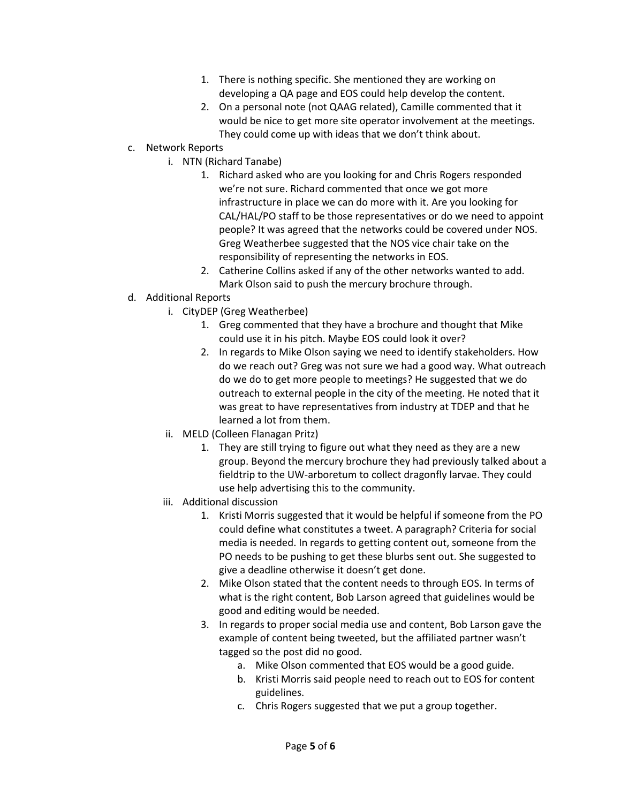- 1. There is nothing specific. She mentioned they are working on developing a QA page and EOS could help develop the content.
- 2. On a personal note (not QAAG related), Camille commented that it would be nice to get more site operator involvement at the meetings. They could come up with ideas that we don't think about.
- c. Network Reports
	- i. NTN (Richard Tanabe)
		- 1. Richard asked who are you looking for and Chris Rogers responded we're not sure. Richard commented that once we got more infrastructure in place we can do more with it. Are you looking for CAL/HAL/PO staff to be those representatives or do we need to appoint people? It was agreed that the networks could be covered under NOS. Greg Weatherbee suggested that the NOS vice chair take on the responsibility of representing the networks in EOS.
		- 2. Catherine Collins asked if any of the other networks wanted to add. Mark Olson said to push the mercury brochure through.
- d. Additional Reports
	- i. CityDEP (Greg Weatherbee)
		- 1. Greg commented that they have a brochure and thought that Mike could use it in his pitch. Maybe EOS could look it over?
		- 2. In regards to Mike Olson saying we need to identify stakeholders. How do we reach out? Greg was not sure we had a good way. What outreach do we do to get more people to meetings? He suggested that we do outreach to external people in the city of the meeting. He noted that it was great to have representatives from industry at TDEP and that he learned a lot from them.
	- ii. MELD (Colleen Flanagan Pritz)
		- 1. They are still trying to figure out what they need as they are a new group. Beyond the mercury brochure they had previously talked about a fieldtrip to the UW-arboretum to collect dragonfly larvae. They could use help advertising this to the community.
	- iii. Additional discussion
		- 1. Kristi Morris suggested that it would be helpful if someone from the PO could define what constitutes a tweet. A paragraph? Criteria for social media is needed. In regards to getting content out, someone from the PO needs to be pushing to get these blurbs sent out. She suggested to give a deadline otherwise it doesn't get done.
		- 2. Mike Olson stated that the content needs to through EOS. In terms of what is the right content, Bob Larson agreed that guidelines would be good and editing would be needed.
		- 3. In regards to proper social media use and content, Bob Larson gave the example of content being tweeted, but the affiliated partner wasn't tagged so the post did no good.
			- a. Mike Olson commented that EOS would be a good guide.
			- b. Kristi Morris said people need to reach out to EOS for content guidelines.
			- c. Chris Rogers suggested that we put a group together.